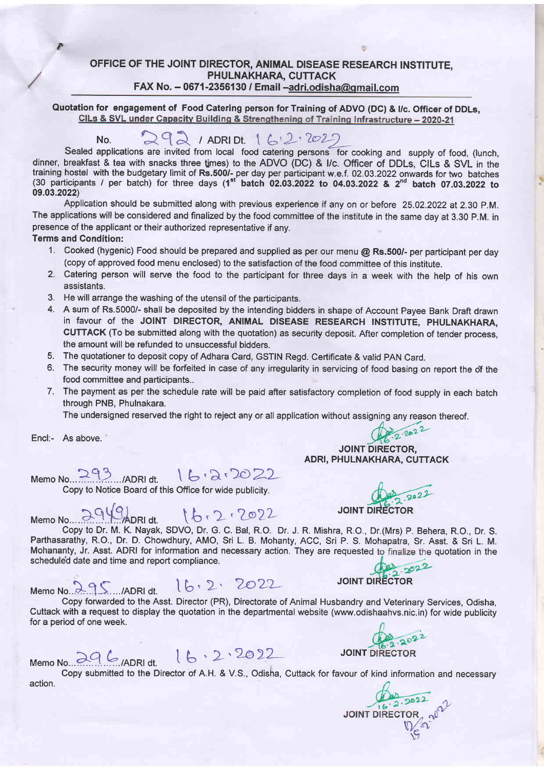OFFICE OF THE JOINT DIRECTOR, ANIMAL DISEASE RESEARCH INSTITUTE, PHULNAKHARA, CUTTACK FAX No.  $-$  0671-2356130 / Email  $-a$ dri.odisha@gmail.com

Quotation for engagement of Food Catering person for Training of ADVO (DC) & I/c. Officer of DDLs,<br>CILs & SVL under Capacity Building & Strengthening of Training Infrastructure - 2020-21

## $N_0$ .  $2921$  / ADRI Dt.  $162 \cdot 2027$

Sealed applications are invited from local food catering persons for cooking and supply of food, (lunch, dinner, breakfast & tea with snacks three times) to the ADVO (DC) & I/c. Officer of DDLs, CILs & SVL in the training hostel with the budgetary limit of **Rs.500/-** per day per participant w.e.f. 02.03.2022 onwards for two batches<br>(30 participants / per batch) for three days (1<sup>st</sup> b<mark>atch 02.03.2022 to 04.03.2022 & 2<sup>nd</sup> batch 07.</mark> 09.03.2022)

Application should be submitted along with previous experience if any on or before 25.02.2022 at 2.30 P.M. The applications will be considered and finalized by the food committee of the institute in the same day at 3.30 P.M. in presence of the applicant or their authorized representative if any.

#### Terms and Condition:

D

/

- 1. Cooked (hygenic) Food should be prepared and supplied as per our menu @ Rs.500/- per participant per day (copy of approved food menu enclosed) to the satisfaction of the food committee of this institute.
- 2. Catering person will serve the food to the participant for three days in a week with the help of his own assistants.
- 3. He will arrange the washing of the utensil of the participants.
- 4. A sum of Rs.5000/- shall be deposited by the intending bidders in shape of Account Payee Bank Draft drawn in favour of the JOINT DIRECTOR, ANIMAL DISEASE RESEARCH INSTITUTE, PHULNAKHARA, CUTTACK (To be submitted along with the quotation) as security deposit. After completion of tender process, the amount will be refunded to unsuccessful bidders.
- 5. The quotationer to deposit copy of Adhara Card, GSTIN Regd. Certificate & valid PAN Card.
- 6. The security money will be forfeited in case of any irregularity in servicing of food basing on report the o'f the food committee and participants..
- 7. The payment as per the schedule rate will be paid after satisfactory completion of food supply in each batch through PNB, Phulnakara.

The undersigned reserved the right to reject any or all application without assigning any reason thereof.  $\bigoplus_{2 \cdot 2 \bullet 2} 2$ 

Encl:- As above. '

 $Memo No. 293$ .../ADRI dt.  $16.27$ 

Copy to Notice Board of this Office for wide publicity.

JOINT DIRECTOR  $Memo No.$   $\frac{10}{2949}$  ADRI dt.  $16.2.22$  JOINT DIRECTOR Copy to Dr. M. K. Nayak, SDVO, Dr. G. C. Bal, R.O. Dr. J. R. Mishra, R.O., Dr.(Mrs) P. Behera, R.O., Dr. S. Parthasarathy, R.O., Dr. D. Chowdhury, AMO, Sri L. B. Mohanty, ACC, Sri P. S. Mohapatra, Sr. Asst. & Sri L. M. Mohananty, Jr. Asst. ADRI for information and necessary action. They are requested to finalize the quotation in the scheduled date and time and report compliance.

Scheduled date and time and report compilance.<br>Memo No. 3.9 S..../ADRI dt. I b ' 2 > 2022<br>JOINT DIRECTOR

ADRI, PHULNAKHARA, CUTTACK

Copy forwarded to the Asst. Director (PR), Directorate of Animal Husbandry and Veterinary Services, Odisha, Cuttack with a request to display the quotation in the departmental website (www.odishaahvs.nic.in) for wide publicity for a period of one week.

MemoN"...a?..k.,oo\*, 0,. tb'L'2.o>L- JorNr

8.2.2022

Copy submitted to the Director of A.H. & V.S., Odisha, Cuttack for favour of kind information and necessary action.

JOINT DIRECTOR 2022